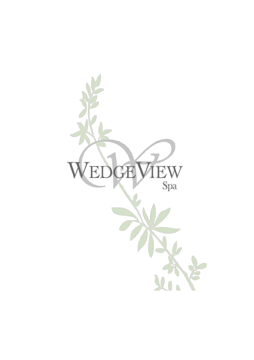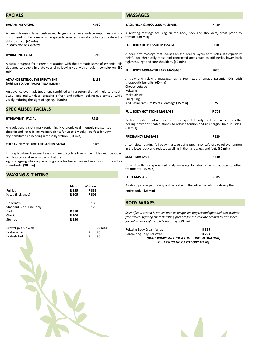| <b>FACIALS</b>                                                                                                                                                                                                          |                         |                                                                                                        |               | <b>MASSAGES</b>                                                                                                                                                                                                               |             |  |
|-------------------------------------------------------------------------------------------------------------------------------------------------------------------------------------------------------------------------|-------------------------|--------------------------------------------------------------------------------------------------------|---------------|-------------------------------------------------------------------------------------------------------------------------------------------------------------------------------------------------------------------------------|-------------|--|
| <b>BALANCING FACIAL</b>                                                                                                                                                                                                 |                         |                                                                                                        | R 590         | <b>BACK, NECK &amp; SHOULDER MASSAGE</b>                                                                                                                                                                                      | R480        |  |
| A deep-cleansing facial customised to gently remove surface impurities using a<br>customised purifying mask while specially selected aromatic botanicals restore the<br>skins balance. (60 min)                         |                         |                                                                                                        |               | A relaxing massage focusing on the back, neck and shoulders, areas prone to<br>tension. (30 min)                                                                                                                              |             |  |
| * SUITABLE FOR GENTS                                                                                                                                                                                                    |                         |                                                                                                        |               | <b>FULL BODY DEEP TISSUE MASSAGE</b>                                                                                                                                                                                          | R 690       |  |
| <b>R590</b><br><b>HYDRATING FACIAL</b>                                                                                                                                                                                  |                         |                                                                                                        |               | A deep firm massage that focuses on the deeper layers of muscles. It's especially<br>helpful for chronically tense and contracted areas such as stiff necks, lower back<br>tightness, legs and sore shoulders. (60 min)       |             |  |
| A facial designed for extreme relaxation with the aromatic scent of essential oils<br>designed to deeply hydrate your skin, leaving you with a radiant complexion. (60<br>min)                                          |                         |                                                                                                        |               | <b>FULL BODY AROMATHERAPY MASSAGE</b>                                                                                                                                                                                         | <b>R670</b> |  |
| <b>ADVANCE RETINOL EYE TREATMENT</b><br>(Add-On TO ANY FACIAL TREATMENT)                                                                                                                                                | R <sub>185</sub>        |                                                                                                        |               | A slow and relaxing massage. Using Pre-mixed Aromatic Essential Oils with<br>therapeutic benefits. (60min)<br>Choose between:                                                                                                 |             |  |
| An advance eye mask treatment combined with a serum that will help to smooth<br>away lines and wrinkles, creating a fresh and radiant looking eye contour while<br>visibly reducing the signs of ageing. (20min)        |                         |                                                                                                        |               | Relaxing<br>Moisturising<br>Energising<br>Add Facial Pressure Points Massage (15 min)                                                                                                                                         | <b>R75</b>  |  |
| <b>SPECIALISED FACIALS</b>                                                                                                                                                                                              |                         |                                                                                                        |               | FULL BODY HOT STONE MASSAGE                                                                                                                                                                                                   | R 705       |  |
| <b>HYDRAVINE™ FACIAL</b>                                                                                                                                                                                                |                         | R725                                                                                                   |               | Restores body, mind and soul in this unique full body treatment which uses the                                                                                                                                                |             |  |
| A revolutionary cloth mask containing Hyaluronic Acid intensely moisturises<br>the skin and 'locks in' active ingredients for up to 3 weeks - perfect for very                                                          |                         | healing power of heated stones to release tension and re-energise tired muscles.<br>$(60 \text{ min})$ |               |                                                                                                                                                                                                                               |             |  |
| dry, sensitive skin needing intense hydration! (90 min)                                                                                                                                                                 |                         |                                                                                                        |               | <b>PREGNANCY MASSAGE</b>                                                                                                                                                                                                      | R 620       |  |
| THERAVINE™ DELUXE ANTI-AGING FACIAL                                                                                                                                                                                     |                         |                                                                                                        | R725          | A complete relaxing full body massage using pregnancy safe oils to relieve tension<br>in the lower back and reduces swelling in the hands, legs and feet. (60 min)                                                            |             |  |
| This replenishing treatment assists in reducing fine lines and wrinkles with peptide-<br>rich boosters and serums to combat the<br>signs of ageing while a plasticizing mask further enhances the actions of the active |                         |                                                                                                        |               | <b>SCALP MASSAGE</b>                                                                                                                                                                                                          | R 340       |  |
| ingredients. (90 min)                                                                                                                                                                                                   |                         |                                                                                                        |               | Unwind with our specialised scalp massage to relax or as an add-on to other<br>treatments. (20 min)                                                                                                                           |             |  |
| <b>WAXING &amp; TINTING</b>                                                                                                                                                                                             |                         |                                                                                                        |               | <b>FOOT MASSAGE</b>                                                                                                                                                                                                           | R 385       |  |
| Full leg<br>1/ <sub>2</sub> Leg (incl. knee)                                                                                                                                                                            | Men<br>R 355<br>R 305   | Women<br>R 355<br>R 305                                                                                |               | A relaxing massage focusing on the feet with the added benefit of relaxing the<br>entire body. (25min)                                                                                                                        |             |  |
| Underarm<br>Standard Bikini Line (only)                                                                                                                                                                                 |                         | R 130<br>R 170                                                                                         |               | <b>BODY WRAPS</b>                                                                                                                                                                                                             |             |  |
| Back<br>Chest<br>Stomach                                                                                                                                                                                                | R 350<br>R 200<br>R 150 |                                                                                                        |               | Scientifically tested & proven with its unique leading technologies and anti-oxidant,<br>free radical-fighting characteristics, prepare for the delicate aromas to transport<br>you into a place of complete harmony. (90min) |             |  |
| Brow/Lip/ Chin wax<br><b>Eyebrow Tint</b>                                                                                                                                                                               |                         | R<br>R                                                                                                 | 95 (ea)<br>80 | Relaxing Body Cream Wrap                                                                                                                                                                                                      | R 855       |  |
| Eyelash Tint                                                                                                                                                                                                            |                         | R                                                                                                      | 90            | Contouring Body Gel Wrap<br>(BODY WRAPS INCLUDE A FULL BODY EXFOLIATION,<br>OIL APPLICATION AND BODY MASK)                                                                                                                    | R 790       |  |
|                                                                                                                                                                                                                         |                         |                                                                                                        |               |                                                                                                                                                                                                                               |             |  |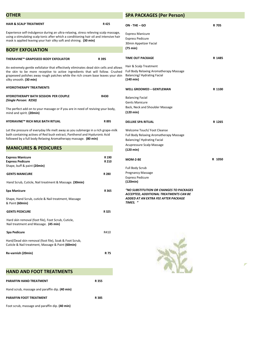| OTHER                                                                                                                                                                                                                                                                                |                                                                                                                        | <b>SPA PACKAGES (Per Person)</b>                                                  |        |
|--------------------------------------------------------------------------------------------------------------------------------------------------------------------------------------------------------------------------------------------------------------------------------------|------------------------------------------------------------------------------------------------------------------------|-----------------------------------------------------------------------------------|--------|
| <b>HAIR &amp; SCALP TREATMENT</b>                                                                                                                                                                                                                                                    | R425                                                                                                                   | ON - THE - GO                                                                     | R 705  |
| Experience self-indulgence during an ultra-relaxing, stress relieving scalp massage,<br>using a stimulating scalp tonic after which a conditioning hair oil and intensive hair<br>mask is applied leaving your hair silky soft and shining. (30 min)                                 | <b>Express Manicure</b><br><b>Express Pedicure</b><br>30min Appetizer Facial                                           |                                                                                   |        |
| <b>BODY EXFOLIATION</b>                                                                                                                                                                                                                                                              |                                                                                                                        | (75 min)                                                                          |        |
| THERAVINE™ GRAPESEED BODY EXFOLIATOR                                                                                                                                                                                                                                                 | R 395                                                                                                                  | <b>TIME OUT PACKAGE</b>                                                           | R 1485 |
| An extremely gentle exfoliator that effectively eliminates dead skin cells and allows<br>the skin to be more receptive to active ingredients that will follow. Crushed<br>grapeseed polishes away rough patches while the rich cream base leaves your skin<br>silky smooth. (30 min) | Hair & Scalp Treatment<br>Full Body Relaxing Aromatherapy Massage<br>Balancing/Hydrating Facial<br>$(140 \text{ min})$ |                                                                                   |        |
| <b>HYDROTHERAPY TREATMENTS</b>                                                                                                                                                                                                                                                       |                                                                                                                        | <b>WELL GROOMED - GENTLEMAN</b>                                                   | R 1100 |
| <b>HYDROTHERAPY BATH SESSION PER COUPLE</b><br>(Single Person: R250)                                                                                                                                                                                                                 | R430                                                                                                                   | <b>Balancing Facial</b><br><b>Gents Manicure</b>                                  |        |
| The perfect add on to your massage or if you are in need of reviving your body,<br>mind and spirit. (20min)                                                                                                                                                                          |                                                                                                                        | Back, Neck and Shoulder Massage<br>$(120 \text{ min})$                            |        |
| <b>HYDRAVINE™ RICH MILK BATH RITUAL</b>                                                                                                                                                                                                                                              | R 895                                                                                                                  | <b>DELUXE SPA RITUAL</b>                                                          | R 1265 |
| Let the pressure of everyday life melt away as you submerge in a rich grape-milk<br>bath containing actives of Red bush extract, Panthenol and Hyaluronic Acid<br>followed by a full body Relaxing Aromatherapy massage. (80 min)                                                    | Welcome Touch/Foot Cleanse<br>Full Body Relaxing Aromatherapy Massage<br>Balancing/Hydrating Facial                    |                                                                                   |        |
| <b>MANICURES &amp; PEDICURES</b>                                                                                                                                                                                                                                                     |                                                                                                                        | Acupressure Scalp Massage<br>(120 min)                                            |        |
| <b>Express Manicure</b><br><b>Express Pedicure</b>                                                                                                                                                                                                                                   | R 190<br>R 210                                                                                                         | MOM-2-BE                                                                          | R 1050 |
| Shape, buff & paint (20min)                                                                                                                                                                                                                                                          |                                                                                                                        | Full Body Scrub                                                                   |        |
| <b>GENTS MANICURE</b>                                                                                                                                                                                                                                                                | R 280                                                                                                                  | <b>Pregnancy Massage</b><br><b>Express Pedicure</b>                               |        |
| Hand Scrub, Cuticle, Nail treatment & Massage. (30min)                                                                                                                                                                                                                               |                                                                                                                        | (120min)                                                                          |        |
| <b>Spa Manicure</b>                                                                                                                                                                                                                                                                  | R 365                                                                                                                  | "NO SUBSTITUTION OR CHANGES TO PACKAGES<br>ACCEPTED, ADDITIONAL TREATMENTS CAN BE |        |
| Shape, Hand Scrub, cuticle & Nail treatment, Massage<br>& Paint (60min)                                                                                                                                                                                                              |                                                                                                                        | ADDED AT AN EXTRA FEE AFTER PACKAGE<br>TIMES. "                                   |        |
| <b>GENTS PEDICURE</b>                                                                                                                                                                                                                                                                | R 325                                                                                                                  |                                                                                   |        |
| Hard skin removal (foot file), Foot Scrub, Cuticle,<br>Nail treatment and Massage. (45 min)                                                                                                                                                                                          |                                                                                                                        |                                                                                   |        |
| <b>Spa Pedicure</b>                                                                                                                                                                                                                                                                  | R410                                                                                                                   |                                                                                   |        |
| Hard/Dead skin removal (foot file), Soak & Foot Scrub,<br>Cuticle & Nail treatment, Massage & Paint (60min)                                                                                                                                                                          |                                                                                                                        |                                                                                   |        |
| Re-varnish (20min)                                                                                                                                                                                                                                                                   | R 75                                                                                                                   |                                                                                   |        |
| <b>HAND AND FOOT TREATMENTS</b>                                                                                                                                                                                                                                                      |                                                                                                                        |                                                                                   |        |
|                                                                                                                                                                                                                                                                                      |                                                                                                                        |                                                                                   |        |
| PARAFFIN HAND TREATMENT                                                                                                                                                                                                                                                              | R 355                                                                                                                  |                                                                                   |        |

 $\overline{\phantom{a}}$ 

Hand scrub, massage and paraffin dip. **(40 min)**

Foot scrub, massage and paraffin dip. **(40 min)**

**PARAFFIN FOOT TREATMENT R 385**